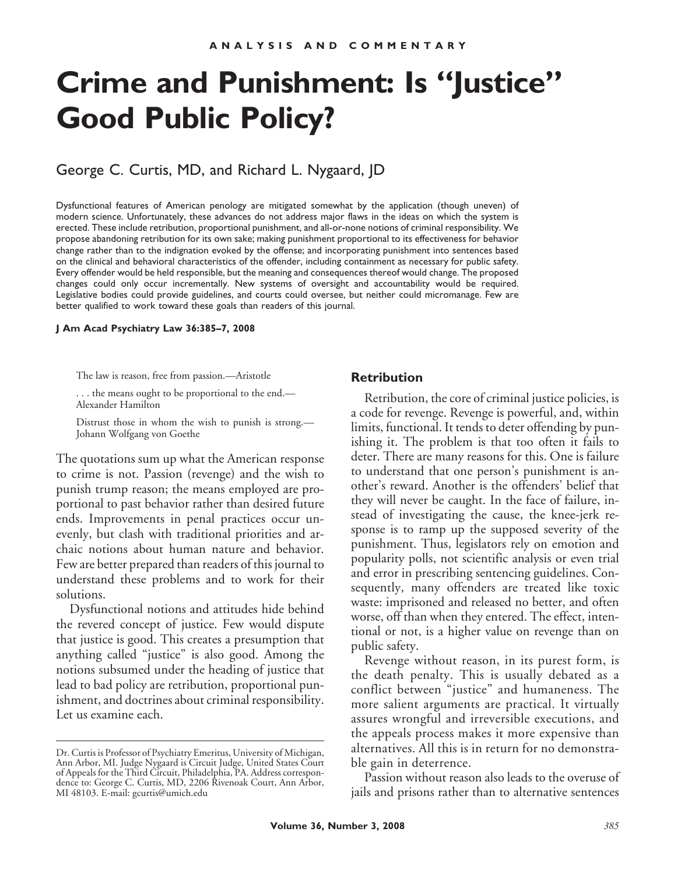# **Crime and Punishment: Is "Justice" Good Public Policy?**

George C. Curtis, MD, and Richard L. Nygaard, JD

Dysfunctional features of American penology are mitigated somewhat by the application (though uneven) of modern science. Unfortunately, these advances do not address major flaws in the ideas on which the system is erected. These include retribution, proportional punishment, and all-or-none notions of criminal responsibility. We propose abandoning retribution for its own sake; making punishment proportional to its effectiveness for behavior change rather than to the indignation evoked by the offense; and incorporating punishment into sentences based on the clinical and behavioral characteristics of the offender, including containment as necessary for public safety. Every offender would be held responsible, but the meaning and consequences thereof would change. The proposed changes could only occur incrementally. New systems of oversight and accountability would be required. Legislative bodies could provide guidelines, and courts could oversee, but neither could micromanage. Few are better qualified to work toward these goals than readers of this journal.

**J Am Acad Psychiatry Law 36:385–7, 2008**

The law is reason, free from passion.—Aristotle

. . . the means ought to be proportional to the end.— Alexander Hamilton

Distrust those in whom the wish to punish is strong.— Johann Wolfgang von Goethe

The quotations sum up what the American response to crime is not. Passion (revenge) and the wish to punish trump reason; the means employed are proportional to past behavior rather than desired future ends. Improvements in penal practices occur unevenly, but clash with traditional priorities and archaic notions about human nature and behavior. Few are better prepared than readers of this journal to understand these problems and to work for their solutions.

Dysfunctional notions and attitudes hide behind the revered concept of justice. Few would dispute that justice is good. This creates a presumption that anything called "justice" is also good. Among the notions subsumed under the heading of justice that lead to bad policy are retribution, proportional punishment, and doctrines about criminal responsibility. Let us examine each.

### **Retribution**

Retribution, the core of criminal justice policies, is a code for revenge. Revenge is powerful, and, within limits, functional. It tends to deter offending by punishing it. The problem is that too often it fails to deter. There are many reasons for this. One is failure to understand that one person's punishment is another's reward. Another is the offenders' belief that they will never be caught. In the face of failure, instead of investigating the cause, the knee-jerk response is to ramp up the supposed severity of the punishment. Thus, legislators rely on emotion and popularity polls, not scientific analysis or even trial and error in prescribing sentencing guidelines. Consequently, many offenders are treated like toxic waste: imprisoned and released no better, and often worse, off than when they entered. The effect, intentional or not, is a higher value on revenge than on public safety.

Revenge without reason, in its purest form, is the death penalty. This is usually debated as a conflict between "justice" and humaneness. The more salient arguments are practical. It virtually assures wrongful and irreversible executions, and the appeals process makes it more expensive than alternatives. All this is in return for no demonstrable gain in deterrence.

Passion without reason also leads to the overuse of jails and prisons rather than to alternative sentences

Dr. Curtis is Professor of Psychiatry Emeritus, University of Michigan, Ann Arbor, MI. Judge Nygaard is Circuit Judge, United States Court of Appeals for the Third Circuit, Philadelphia, PA. Address correspondence to: George C. Curtis, MD, 2206 Rivenoak Court, Ann Arbor, MI 48103. E-mail: gcurtis@umich.edu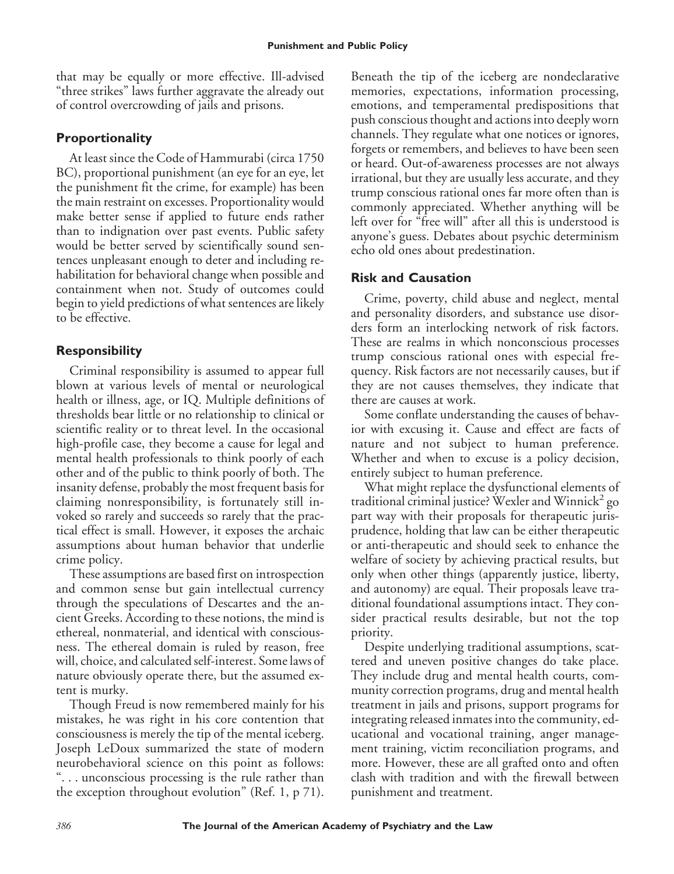that may be equally or more effective. Ill-advised "three strikes" laws further aggravate the already out of control overcrowding of jails and prisons.

# **Proportionality**

At least since the Code of Hammurabi (circa 1750 BC), proportional punishment (an eye for an eye, let the punishment fit the crime, for example) has been the main restraint on excesses. Proportionality would make better sense if applied to future ends rather than to indignation over past events. Public safety would be better served by scientifically sound sentences unpleasant enough to deter and including rehabilitation for behavioral change when possible and containment when not. Study of outcomes could begin to yield predictions of what sentences are likely to be effective.

# **Responsibility**

Criminal responsibility is assumed to appear full blown at various levels of mental or neurological health or illness, age, or IQ. Multiple definitions of thresholds bear little or no relationship to clinical or scientific reality or to threat level. In the occasional high-profile case, they become a cause for legal and mental health professionals to think poorly of each other and of the public to think poorly of both. The insanity defense, probably the most frequent basis for claiming nonresponsibility, is fortunately still invoked so rarely and succeeds so rarely that the practical effect is small. However, it exposes the archaic assumptions about human behavior that underlie crime policy.

These assumptions are based first on introspection and common sense but gain intellectual currency through the speculations of Descartes and the ancient Greeks. According to these notions, the mind is ethereal, nonmaterial, and identical with consciousness. The ethereal domain is ruled by reason, free will, choice, and calculated self-interest. Some laws of nature obviously operate there, but the assumed extent is murky.

Though Freud is now remembered mainly for his mistakes, he was right in his core contention that consciousness is merely the tip of the mental iceberg. Joseph LeDoux summarized the state of modern neurobehavioral science on this point as follows: ". . . unconscious processing is the rule rather than the exception throughout evolution" (Ref. 1, p 71).

Beneath the tip of the iceberg are nondeclarative memories, expectations, information processing, emotions, and temperamental predispositions that push conscious thought and actions into deeply worn channels. They regulate what one notices or ignores, forgets or remembers, and believes to have been seen or heard. Out-of-awareness processes are not always irrational, but they are usually less accurate, and they trump conscious rational ones far more often than is commonly appreciated. Whether anything will be left over for "free will" after all this is understood is anyone's guess. Debates about psychic determinism echo old ones about predestination.

# **Risk and Causation**

Crime, poverty, child abuse and neglect, mental and personality disorders, and substance use disorders form an interlocking network of risk factors. These are realms in which nonconscious processes trump conscious rational ones with especial frequency. Risk factors are not necessarily causes, but if they are not causes themselves, they indicate that there are causes at work.

Some conflate understanding the causes of behavior with excusing it. Cause and effect are facts of nature and not subject to human preference. Whether and when to excuse is a policy decision, entirely subject to human preference.

What might replace the dysfunctional elements of traditional criminal justice? Wexler and Winnick<sup>2</sup> go part way with their proposals for therapeutic jurisprudence, holding that law can be either therapeutic or anti-therapeutic and should seek to enhance the welfare of society by achieving practical results, but only when other things (apparently justice, liberty, and autonomy) are equal. Their proposals leave traditional foundational assumptions intact. They consider practical results desirable, but not the top priority.

Despite underlying traditional assumptions, scattered and uneven positive changes do take place. They include drug and mental health courts, community correction programs, drug and mental health treatment in jails and prisons, support programs for integrating released inmates into the community, educational and vocational training, anger management training, victim reconciliation programs, and more. However, these are all grafted onto and often clash with tradition and with the firewall between punishment and treatment.